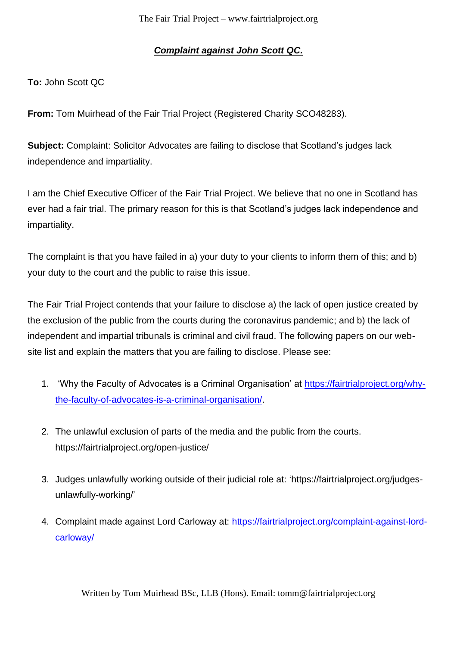## *Complaint against John Scott QC.*

**To:** John Scott QC

**From:** Tom Muirhead of the Fair Trial Project (Registered Charity SCO48283).

**Subject:** Complaint: Solicitor Advocates are failing to disclose that Scotland's judges lack independence and impartiality.

I am the Chief Executive Officer of the Fair Trial Project. We believe that no one in Scotland has ever had a fair trial. The primary reason for this is that Scotland's judges lack independence and impartiality.

The complaint is that you have failed in a) your duty to your clients to inform them of this; and b) your duty to the court and the public to raise this issue.

The Fair Trial Project contends that your failure to disclose a) the lack of open justice created by the exclusion of the public from the courts during the coronavirus pandemic; and b) the lack of independent and impartial tribunals is criminal and civil fraud. The following papers on our website list and explain the matters that you are failing to disclose. Please see:

- 1. 'Why the Faculty of Advocates is a Criminal Organisation' at [https://fairtrialproject.org/why](https://fairtrialproject.org/why-the-faculty-of-advocates-is-a-criminal-organisation/)[the-faculty-of-advocates-is-a-criminal-organisation/.](https://fairtrialproject.org/why-the-faculty-of-advocates-is-a-criminal-organisation/)
- 2. The unlawful exclusion of parts of the media and the public from the courts. https://fairtrialproject.org/open-justice/
- 3. Judges unlawfully working outside of their judicial role at: 'https://fairtrialproject.org/judgesunlawfully-working/'
- 4. Complaint made against Lord Carloway at: [https://fairtrialproject.org/complaint-against-lord](https://fairtrialproject.org/complaint-against-lord-carloway/)[carloway/](https://fairtrialproject.org/complaint-against-lord-carloway/)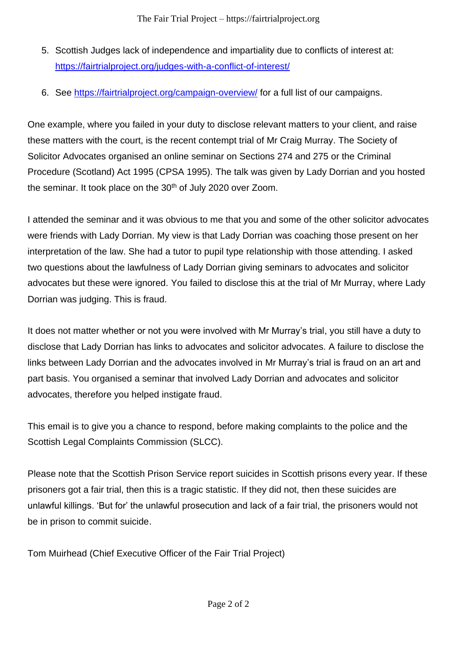- 5. Scottish Judges lack of independence and impartiality due to conflicts of interest at: <https://fairtrialproject.org/judges-with-a-conflict-of-interest/>
- 6. See<https://fairtrialproject.org/campaign-overview/> for a full list of our campaigns.

One example, where you failed in your duty to disclose relevant matters to your client, and raise these matters with the court, is the recent contempt trial of Mr Craig Murray. The Society of Solicitor Advocates organised an online seminar on Sections 274 and 275 or the Criminal Procedure (Scotland) Act 1995 (CPSA 1995). The talk was given by Lady Dorrian and you hosted the seminar. It took place on the 30<sup>th</sup> of July 2020 over Zoom.

I attended the seminar and it was obvious to me that you and some of the other solicitor advocates were friends with Lady Dorrian. My view is that Lady Dorrian was coaching those present on her interpretation of the law. She had a tutor to pupil type relationship with those attending. I asked two questions about the lawfulness of Lady Dorrian giving seminars to advocates and solicitor advocates but these were ignored. You failed to disclose this at the trial of Mr Murray, where Lady Dorrian was judging. This is fraud.

It does not matter whether or not you were involved with Mr Murray's trial, you still have a duty to disclose that Lady Dorrian has links to advocates and solicitor advocates. A failure to disclose the links between Lady Dorrian and the advocates involved in Mr Murray's trial is fraud on an art and part basis. You organised a seminar that involved Lady Dorrian and advocates and solicitor advocates, therefore you helped instigate fraud.

This email is to give you a chance to respond, before making complaints to the police and the Scottish Legal Complaints Commission (SLCC).

Please note that the Scottish Prison Service report suicides in Scottish prisons every year. If these prisoners got a fair trial, then this is a tragic statistic. If they did not, then these suicides are unlawful killings. 'But for' the unlawful prosecution and lack of a fair trial, the prisoners would not be in prison to commit suicide.

Tom Muirhead (Chief Executive Officer of the Fair Trial Project)